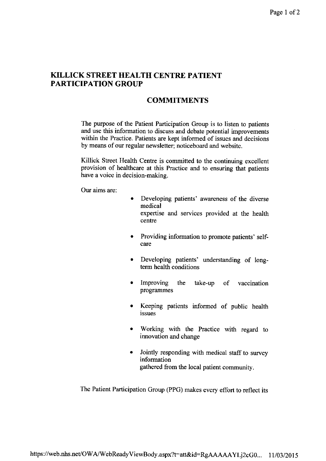## KILLICK STREET HEALTH CENTRE PATIENT PARTICIPATION GROUP

## COMMITMENTS

The purpose of the Patient Participation Group is to listen to patients and use this information to discuss and debate potential improvements within the Practice. Patients are kept informed of issues and decisions by means of our regular newsletter; noticeboard and website.

Killick Street Health Centre is committed to the continuing excellent provision of healthcare at this Practice and to ensuring that patients have a voice in decision-making.

Our aims are:

- . Developing patients' awareness of the diverse medical expertise and services provided at the health centre
	- Providing information to promote patients' selfcare
- Developing patients' understanding of long- $\bullet$ term health conditions
- Improving the take-up of vaccination programmes
- Keeping patients informed of public health issues
- Working with the Practice with regard to innovation and change
- Jointly responding with medical staff to survey information gathered fiom the local patient community.

The Patient Participation Group (PPG) makes every effort to reflect its